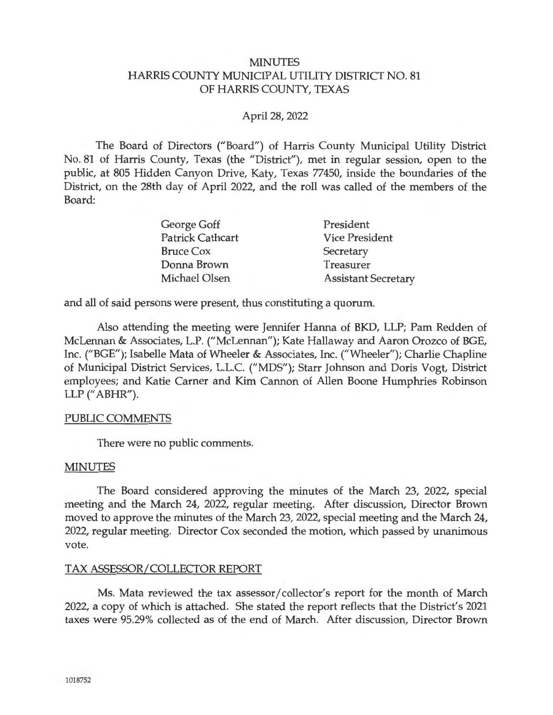### **MINUTES** HARRIS COUNTY MUNICIPAL UTILITY DISTRICT NO. 81 OF HARRIS COUNTY, TEXAS

### April 28, 2022

The Board of Directors ("Board") of Harris County Municipal Utility District No. 81 of Harris County, Texas (the "District"), met in regular session, open to the public, at 805 Hidden Canyon Drive, Katy, Texas 77450, inside the boundaries of the District, on the 28th day of April 2022, and the roll was called of the members of the Board:

| George Goff             | President                  |
|-------------------------|----------------------------|
| <b>Patrick Cathcart</b> | <b>Vice President</b>      |
| <b>Bruce Cox</b>        | Secretary                  |
| Donna Brown             | Treasurer                  |
| Michael Olsen           | <b>Assistant Secretary</b> |

and all of said persons were present, thus constituting a quorum.

Also attending the meeting were Jennifer Hanna of BKD, LLP; Pam Redden of McLennan & Associates, L.P. ("McLennan"); Kate Hallaway and Aaron Orozco of BGE, Inc. ("BGE"); Isabelle Mata of Wheeler & Associates, Inc. ("Wheeler"); Charlie Chapline of Municipal District Services, L.L.C. ("MDS"); Starr Johnson and Doris Vogt, District employees; and Katie Carner and Kim Cannon of Allen Boone Humphries Robinson LLP (" ABHR").

### PUBLIC COMMENTS

There were no public comments.

### MINUTES

The Board considered approving the minutes of the March 23, 2022, special meeting and the March 24, 2022, regular meeting. After discussion, Director Brown moved to approve the minutes of the March 23, 2022, special meeting and the March 24, 2022, regular meeting. Director Cox seconded the motion, which passed by unanimous vote.

#### TAX ASSESSOR/ COLLECTOR REPORT

Ms. Mata reviewed the tax assessor/ collector's report for the month of March 2022, a copy of which is attached. She stated the report reflects that the District's 2021 taxes were 95.29% collected as of the end of March. After discussion, Director Brown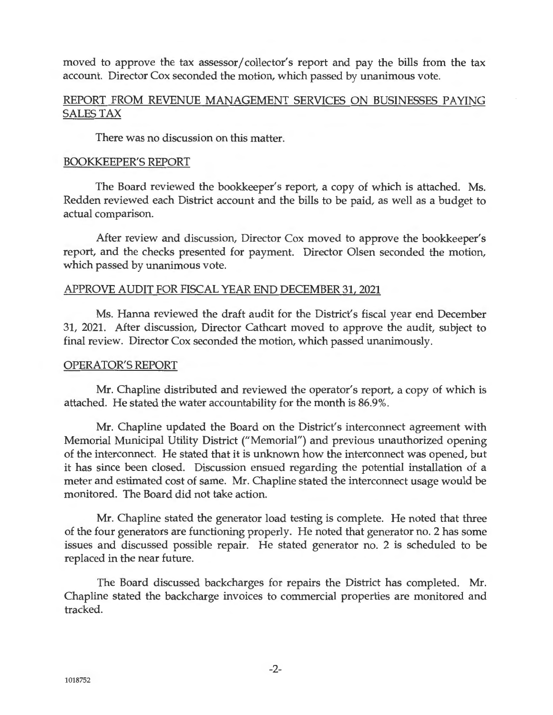moved to approve the tax assessor/ collector's report and pay the bills from the tax account. Director Cox seconded the motion, which passed by unanimous vote.

# REPORT FROM REVENUE MANAGEMENT SERVICES ON BUSINESSES PAYING SALES TAX

There was no discussion on this matter.

#### BOOKKEEPER'S REPORT

The Board reviewed the bookkeeper's report, a copy of which is attached. Ms. Redden reviewed each District account and the bills to be paid, as well as a budget to actual comparison.

After review and discussion, Director Cox moved to approve the bookkeeper's report, and the checks presented for payment. Director Olsen seconded the motion, which passed by unanimous vote.

#### APPROVE AUDIT FOR FISCAL YEAR END DECEMBER 31, 2021

Ms. Hanna reviewed the draft audit for the District's fiscal year end December 31, 2021. After discussion, Director Cathcart moved to approve the audit, subject to final review. Director Cox seconded the motion, which passed unanimously.

#### OPERATOR'S REPORT

Mr. Chapline distributed and reviewed the operator's report, a copy of which is attached. He stated the water accountability for the month is 86.9%.

Mr. Chapline updated the Board on the District's interconnect agreement with Memorial Municipal Utility District ("Memorial") and previous unauthorized opening of the interconnect. He stated that it is unknown how the interconnect was opened, but it has since been closed. Discussion ensued regarding the potential installation of a meter and estimated cost of same. Mr. Chapline stated the interconnect usage would be monitored. The Board did not take action.

Mr. Chapline stated the generator load testing is complete. He noted that three of the four generators are functioning properly. He noted that generator no. 2 has some issues and discussed possible repair. He stated generator no. 2 is scheduled to be replaced in the near future.

The Board discussed backcharges for repairs the District has completed. Mr. Chapline stated the backcharge invoices to commercial properties are monitored and tracked.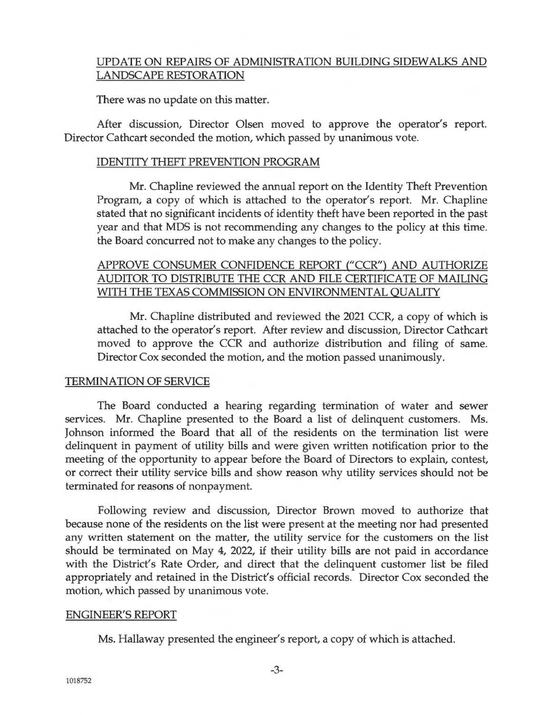# UPDATE ON REPAIRS OF ADMINISTRATION BUILDING SIDEWALKS AND LANDSCAPE RESTORATION

There was no update on this matter.

After discussion, Director Olsen moved to approve the operator's report. Director Cathcart seconded the motion, which passed by unanimous vote.

### IDENTITY THEFT PREVENTION PROGRAM

Mr. Chapline reviewed the annual report on the Identity Theft Prevention Program, a copy of which is attached to the operator's report. Mr. Chapline stated that no significant incidents of identity theft have been reported in the past year and that MDS is not recommending any changes to the policy at this time. the Board concurred not to make any changes to the policy.

# APPROVE CONSUMER CONFIDENCE REPORT ("CCR") AND AUTHORIZE AUDITOR TO DISTRIBUTE THE CCR AND FILE CERTIFICATE OF MAILING WITH THE TEXAS COMMISSION ON ENVIRONMENTAL QUALITY

Mr. Chapline distributed and reviewed the 2021 CCR, a copy of which is attached to the operator's report. After review and discussion, Director Cathcart moved to approve the CCR and authorize distribution and filing of same. Director Cox seconded the motion, and the motion passed unanimously.

#### TERMINATION OF SERVICE

The Board conducted a hearing regarding termination of water and sewer services. Mr. Chapline presented to the Board a list of delinquent customers. Ms. Johnson informed the Board that all of the residents on the termination list were delinquent in payment of utility bills and were given written notification prior to the meeting of the opportunity to appear before the Board of Directors to explain, contest, or correct their utility service bills and show reason why utility services should not be terminated for reasons of nonpayment.

Following review and discussion, Director Brown moved to authorize that because none of the residents on the list were present at the meeting nor had presented any written statement on the matter, the utility service for the customers on the list should be terminated on May 4, 2022, if their utility bills are not paid in accordance with the District's Rate Order, and direct that the delinquent customer list be filed appropriately and retained in the District's official records. Director Cox seconded the motion, which passed by unanimous vote.

#### ENGINEER'S REPORT

Ms. Hallaway presented the engineer's report, a copy of which is attached.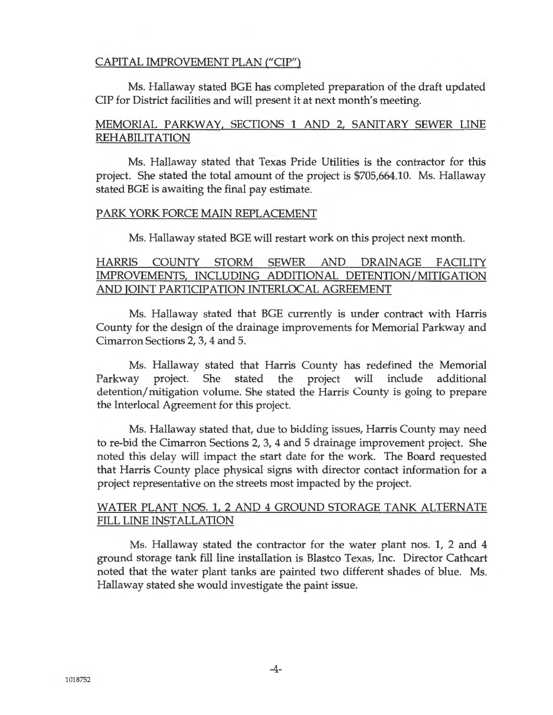# CAPITAL IMPROVEMENT PLAN ("CIP")

Ms. Hallaway stated BGE has completed preparation of the draft updated CIP for District facilities and will present it at next month's meeting.

# MEMORIAL PARKWAY, SECTIONS 1 AND 2, SANITARY SEWER LINE REHABILITATION

Ms. Hallaway stated that Texas Pride Utilities is the contractor for this project. She stated the total amount of the project is \$705,664.10. Ms. Hallaway stated BGE is awaiting the final pay estimate.

#### PARK YORK FORCE MAIN REPLACEMENT

Ms. Hallaway stated BGE will restart work on this project next month.

# HARRIS COUNTY STORM SEWER AND DRAINAGE FACILITY IMPROVEMENTS, INCLUDING ADDITIONAL DETENTION/MITIGATION AND JOINT PARTICIPATION INTERLOCAL AGREEMENT

Ms. Hallaway stated that BGE currently is under contract with Harris County for the design of the drainage improvements for Memorial Parkway and Cimarron Sections 2, 3, 4 and 5.

Ms. Hallaway stated that Harris County has redefined the Memorial Parkway project. She stated the project will include additional detention/ mitigation volume. She stated the Harris County is going to prepare the Interlocal Agreement for this project.

Ms. Hallaway stated that, due to bidding issues, Harris County may need to re-bid the Cimarron Sections 2, 3, 4 and 5 drainage improvement project. She noted this delay will impact the start date for the work. The Board requested that Harris County place physical signs with director contact information for a project representative on the streets most impacted by the project.

# WATER PLANT NOS. 1, 2 AND 4 GROUND STORAGE TANK ALTERNATE FILL LINE INSTALLATION

Ms. Hallaway stated the contractor for the water plant nos. 1, 2 and 4 ground storage tank fill line installation is Blastco Texas, Inc. Director Cathcart noted that the water plant tanks are painted two different shades of blue. Ms. Hallaway stated she would investigate the paint issue.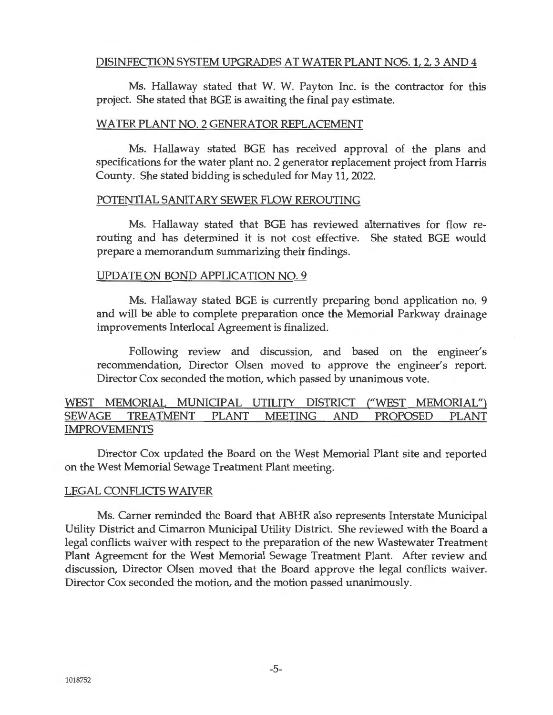# DISINFECTION SYSTEM UPGRADES AT WATER PLANT NOS. 1, 2, 3 AND 4

Ms. Hallaway stated that W. W. Payton Inc. is the contractor for this project. She stated that BGE is awaiting the final pay estimate.

### WATER PLANT NO. 2 GENERATOR REPLACEMENT

Ms. Hallaway stated BGE has received approval of the plans and specifications for the water plant no. 2 generator replacement project from Harris County. She stated bidding is scheduled for May 11, 2022.

#### POTENTIAL SANITARY SEWER FLOW REROUTING

Ms. Hallaway stated that BGE has reviewed alternatives for flow rerouting and has determined it is not cost effective. She stated BGE would prepare a memorandum summarizing their findings.

#### UPDATE ON BOND APPLICATION NO. 9

Ms. Hallaway stated BGE is currently preparing bond application no. 9 and will be able to complete preparation once the Memorial Parkway drainage improvements Interlocal Agreement is finalized.

Following review and discussion, and based on the engineer's recommendation, Director Olsen moved to approve the engineer's report. Director Cox seconded the motion, which passed by unanimous vote.

# WEST MEMORIAL MUNICIPAL UTILITY DISTRICT ("WEST MEMORIAL") SEWAGE TREATMENT PLANT MEETING AND PROPOSED PLANT IMPROVEMENTS

Director Cox updated the Board on the West Memorial Plant site and reported on the West Memorial Sewage Treatment Plant meeting.

### LEGAL CONFLICTS WAIVER

Ms. Carner reminded the Board that ABHR also represents Interstate Municipal Utility District and Cimarron Municipal Utility District. She reviewed with the Board a legal conflicts waiver with respect to the preparation of the new Wastewater Treatment Plant Agreement for the West Memorial Sewage Treatment Plant. After review and discussion, Director Olsen moved that the Board approve the legal conflicts waiver. Director Cox seconded the motion, and the motion passed unanimously.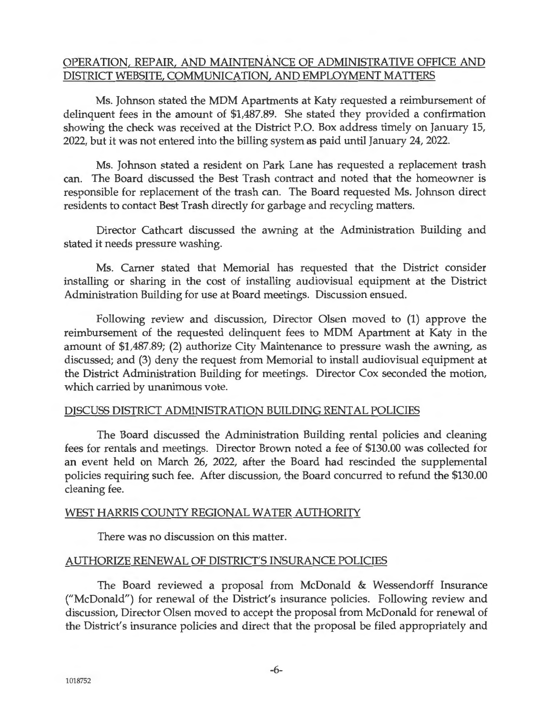# OPERATION, REPAIR, AND MAINTENANCE OF ADMINISTRATIVE OFFICE AND DISTRICT WEBSITE, COMMUNICATION, AND EMPLOYMENT MATTERS

Ms. Johnson stated the MDM Apartments at Katy requested a reimbursement of delinquent fees in the amount of \$1,487.89. She stated they provided a confirmation showing the check was received at the District P.O. Box address timely on January 15, 2022, but it was not entered into the billing system as paid until January 24, 2022.

Ms. Johnson stated a resident on Park Lane has requested a replacement trash can. The Board discussed the Best Trash contract and noted that the homeowner is responsible for replacement of the trash can. The Board requested Ms. Johnson direct residents to contact Best Trash directly for garbage and recycling matters.

Director Cathcart discussed the awning at the Administration Building and stated it needs pressure washing.

Ms. Carner stated that Memorial has requested that the District consider installing or sharing in the cost of installing audiovisual equipment at the District Administration Building for use at Board meetings. Discussion ensued.

Following review and discussion, Director Olsen moved to (1) approve the reimbursement of the requested delinquent fees to MDM Apartment at Katy in the amount of \$1,487.89; (2) authorize City Maintenance to pressure wash the awning, as discussed; and (3) deny the request from Memorial to install audiovisual equipment at the District Administration Building for meetings. Director Cox seconded the motion, which carried by unanimous vote.

### DISCUSS DISTRICT ADMINISTRATION BUILDING RENTAL POLICIES

The Board discussed the Administration Building rental policies and cleaning fees for rentals and meetings. Director Brown noted a fee of \$130.00 was collected for an event held on March 26, 2022, after the Board had rescinded the supplemental policies requiring such fee. After discussion, the Board concurred to refund the \$130.00 cleaning fee.

### WEST HARRIS COUNTY REGIONAL WATER AUTHORITY

There was no discussion on this matter.

### AUTHORIZE RENEWAL OF DISTRICT'S INSURANCE POLICIES

The Board reviewed a proposal from McDonald & Wessendorff Insurance ("McDonald") for renewal of the District's insurance policies. Following review and discussion, Director Olsen moved to accept the proposal from McDonald for renewal of the District's insurance policies and direct that the proposal be filed appropriately and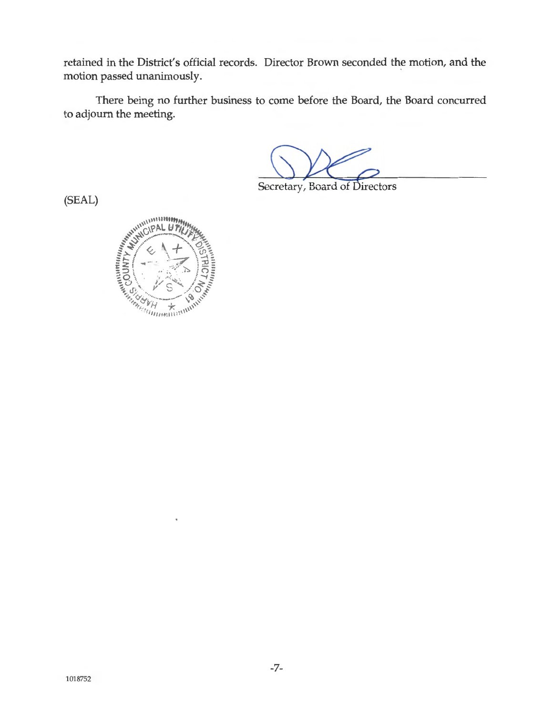retained in the District's official records. Director Brown seconded the motion, and the motion passed unanimously.

There being no further business to come before the Board, the Board concurred to adjourn the meeting.

Secretary, Board of Directors

(SEAL)